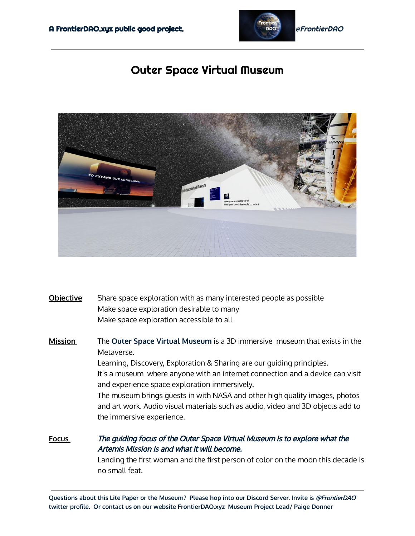

## Outer Space Virtual Museum



- **Objective** Share space exploration with as many interested people as possible Make space exploration desirable to many Make space exploration accessible to all
- **Mission** The **Outer Space Virtual Museum** is a 3D immersive museum that exists in the Metaverse. Learning, Discovery, Exploration & Sharing are our guiding principles. It's a museum where anyone with an internet connection and a device can visit and experience space exploration immersively. The museum brings guests in with NASA and other high quality images, photos and art work. Audio visual materials such as audio, video and 3D objects add to the immersive experience.

**Focus** The guiding focus of the Outer Space Virtual Museum is to explore what the Artemis Mission is and what it will become. Landing the first woman and the first person of color on the moon this decade is no small feat.

**Questions about this Lite Paper or the Museum? Please hop into our Discord Server. Invite is** @FrontierDAO **twitter profile. Or contact us on our website FrontierDAO.xyz Museum Project Lead/ Paige Donner**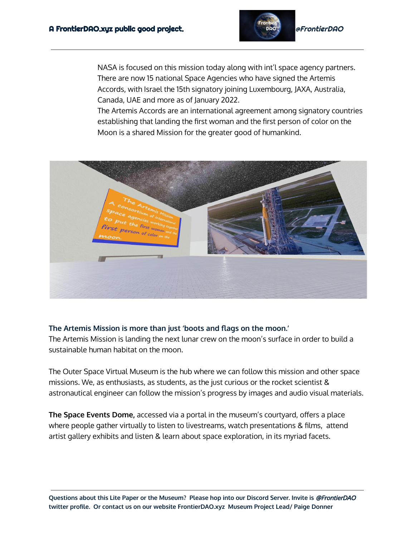

NASA is focused on this mission today along with int'l space agency partners. There are now 15 national Space Agencies who have signed the Artemis Accords, with Israel the 15th signatory joining Luxembourg, JAXA, Australia, Canada, UAE and more as of January 2022.

The Artemis Accords are an international agreement among signatory countries establishing that landing the first woman and the first person of color on the Moon is a shared Mission for the greater good of humankind.



## **The Artemis Mission is more than just 'boots and flags on the moon.'**

The Artemis Mission is landing the next lunar crew on the moon's surface in order to build a sustainable human habitat on the moon.

The Outer Space Virtual Museum is the hub where we can follow this mission and other space missions. We, as enthusiasts, as students, as the just curious or the rocket scientist & astronautical engineer can follow the mission's progress by images and audio visual materials.

**The Space Events Dome,** accessed via a portal in the museum's courtyard, offers a place where people gather virtually to listen to livestreams, watch presentations & films, attend artist gallery exhibits and listen & learn about space exploration, in its myriad facets.